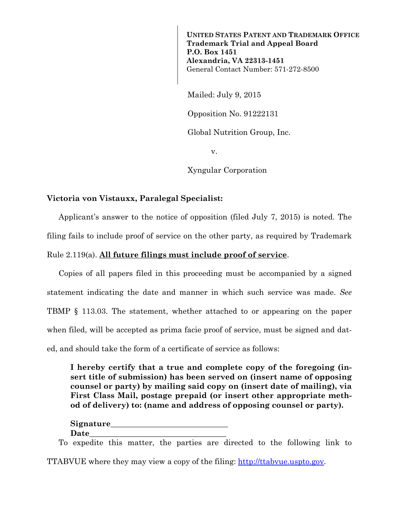**UNITED STATES PATENT AND TRADEMARK OFFICE Trademark Trial and Appeal Board P.O. Box 1451 Alexandria, VA 22313-1451**  General Contact Number: 571-272-8500

Mailed: July 9, 2015

Opposition No. 91222131

Global Nutrition Group, Inc.

v.

Xyngular Corporation

## **Victoria von Vistauxx, Paralegal Specialist:**

Applicant's answer to the notice of opposition (filed July 7, 2015) is noted. The filing fails to include proof of service on the other party, as required by Trademark Rule 2.119(a). **All future filings must include proof of service**.

Copies of all papers filed in this proceeding must be accompanied by a signed statement indicating the date and manner in which such service was made. *See* TBMP § 113.03. The statement, whether attached to or appearing on the paper when filed, will be accepted as prima facie proof of service, must be signed and dated, and should take the form of a certificate of service as follows:

**I hereby certify that a true and complete copy of the foregoing (insert title of submission) has been served on (insert name of opposing counsel or party) by mailing said copy on (insert date of mailing), via First Class Mail, postage prepaid (or insert other appropriate method of delivery) to: (name and address of opposing counsel or party).** 

| Signature |  |
|-----------|--|
| Date      |  |

To expedite this matter, the parties are directed to the following link to

TTABVUE where they may view a copy of the filing: http://ttabvue.uspto.gov.